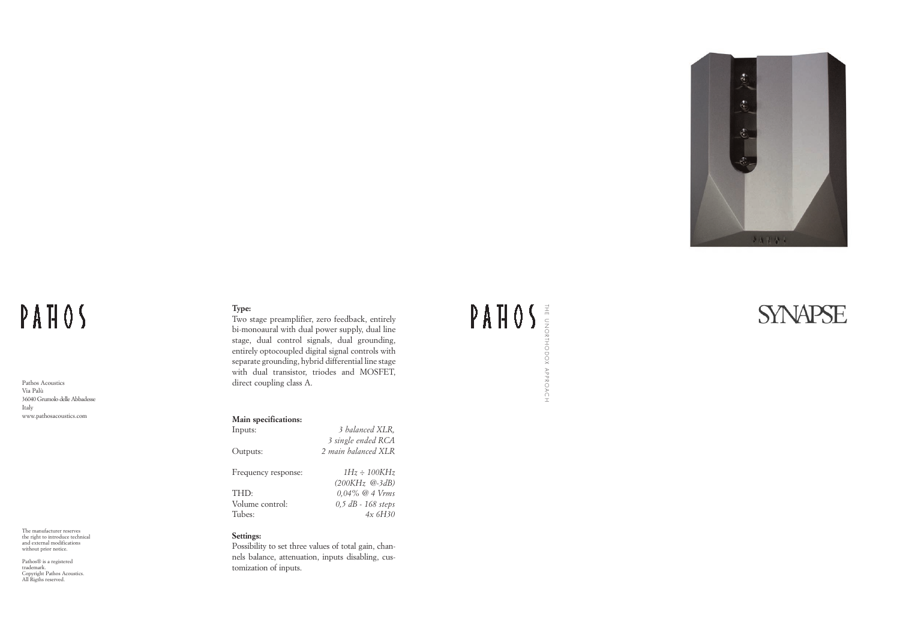THE UNORTHODOX APPROACH





### PAHOS

Pathos Acoustics Via Palù 36040 Grumolo delle Abbadesse Italy www.pathosacoustics.com

The manufacturer reserves the right to introduce technical and external modifications without prior notice.

Pathos® is a registered trademark. Copyright Pathos Acoustics. All Rigths reserved.

#### **Type:**

Two stage preamplifier, zero feedback, entirely bi-monoaural with dual power supply, dual line stage, dual control signals, dual grounding, entirely optocoupled digital signal controls with separate grounding, hybrid differential line stage with dual transistor, triodes and MOSFET, direct coupling class A.

#### **Main specifications:**

| 3 balanced XLR,     |
|---------------------|
| 3 single ended RCA  |
| 2 main balanced XLR |
|                     |
| $1Hz \div 100KHz$   |
| $(200KHz \; @.3dB)$ |
| $0.04\%$ @ 4 Vrms   |
| 0,5 dB - 168 steps  |
| 4x6H30              |
|                     |

#### **Settings:**

Possibility to set three values of total gain, channels balance, attenuation, inputs disabling, customization of inputs.

#